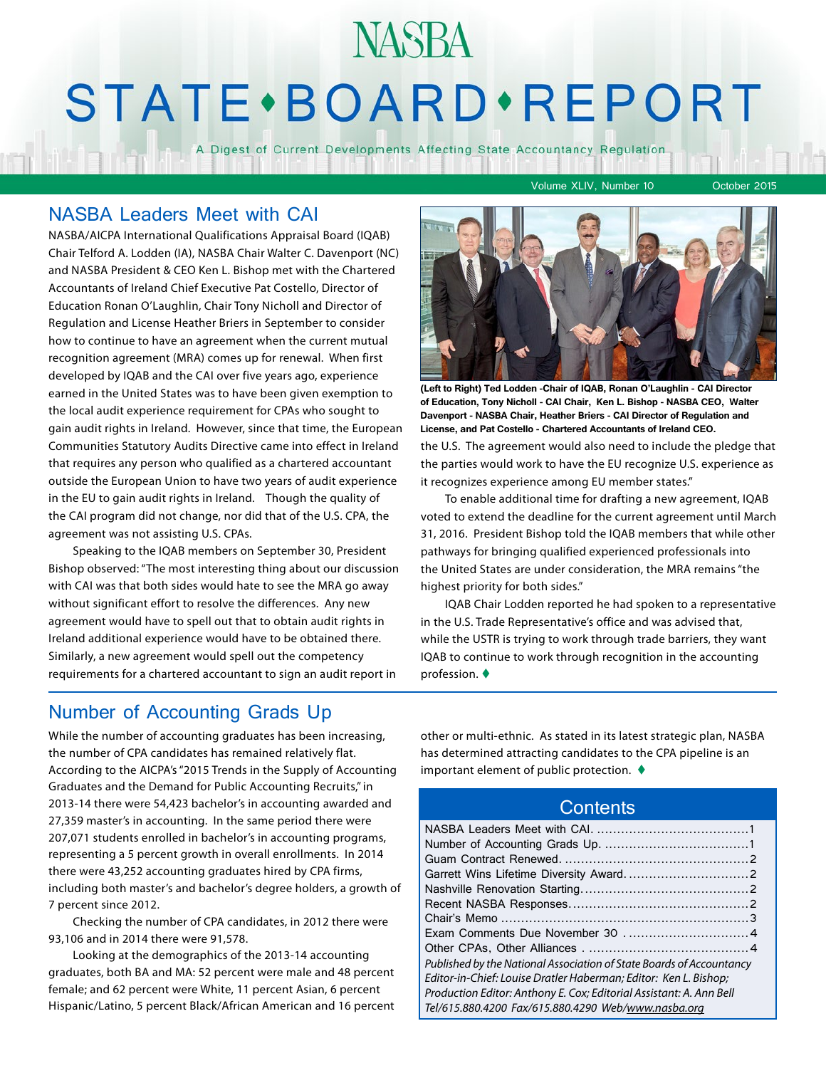# **NASBA STATE** · BOARD · REPORT

A Digest of Current Developments Affecting State Accountancy Regulation

Volume XLIV, Number 10 October 2015

### NASBA Leaders Meet with CAI

NASBA/AICPA International Qualifications Appraisal Board (IQAB) Chair Telford A. Lodden (IA), NASBA Chair Walter C. Davenport (NC) and NASBA President & CEO Ken L. Bishop met with the Chartered Accountants of Ireland Chief Executive Pat Costello, Director of Education Ronan O'Laughlin, Chair Tony Nicholl and Director of Regulation and License Heather Briers in September to consider how to continue to have an agreement when the current mutual recognition agreement (MRA) comes up for renewal. When first developed by IQAB and the CAI over five years ago, experience earned in the United States was to have been given exemption to the local audit experience requirement for CPAs who sought to gain audit rights in Ireland. However, since that time, the European Communities Statutory Audits Directive came into effect in Ireland that requires any person who qualified as a chartered accountant outside the European Union to have two years of audit experience in the EU to gain audit rights in Ireland. Though the quality of the CAI program did not change, nor did that of the U.S. CPA, the agreement was not assisting U.S. CPAs.

Speaking to the IQAB members on September 30, President Bishop observed: "The most interesting thing about our discussion with CAI was that both sides would hate to see the MRA go away without significant effort to resolve the differences. Any new agreement would have to spell out that to obtain audit rights in Ireland additional experience would have to be obtained there. Similarly, a new agreement would spell out the competency requirements for a chartered accountant to sign an audit report in



**(Left to Right) Ted Lodden -Chair of IQAB, Ronan O'Laughlin - CAI Director of Education, Tony Nicholl - CAI Chair, Ken L. Bishop - NASBA CEO, Walter Davenport - NASBA Chair, Heather Briers - CAI Director of Regulation and License, and Pat Costello - Chartered Accountants of Ireland CEO.** 

the U.S. The agreement would also need to include the pledge that the parties would work to have the EU recognize U.S. experience as it recognizes experience among EU member states."

To enable additional time for drafting a new agreement, IQAB voted to extend the deadline for the current agreement until March 31, 2016. President Bishop told the IQAB members that while other pathways for bringing qualified experienced professionals into the United States are under consideration, the MRA remains "the highest priority for both sides."

IQAB Chair Lodden reported he had spoken to a representative in the U.S. Trade Representative's office and was advised that, while the USTR is trying to work through trade barriers, they want IQAB to continue to work through recognition in the accounting profession.  $\blacklozenge$ 

## Number of Accounting Grads Up

While the number of accounting graduates has been increasing, the number of CPA candidates has remained relatively flat. According to the AICPA's "2015 Trends in the Supply of Accounting Graduates and the Demand for Public Accounting Recruits," in 2013-14 there were 54,423 bachelor's in accounting awarded and 27,359 master's in accounting. In the same period there were 207,071 students enrolled in bachelor's in accounting programs, representing a 5 percent growth in overall enrollments. In 2014 there were 43,252 accounting graduates hired by CPA firms, including both master's and bachelor's degree holders, a growth of 7 percent since 2012.

Checking the number of CPA candidates, in 2012 there were 93,106 and in 2014 there were 91,578.

Looking at the demographics of the 2013-14 accounting graduates, both BA and MA: 52 percent were male and 48 percent female; and 62 percent were White, 11 percent Asian, 6 percent Hispanic/Latino, 5 percent Black/African American and 16 percent other or multi-ethnic. As stated in its latest strategic plan, NASBA has determined attracting candidates to the CPA pipeline is an important element of public protection.  $\blacklozenge$ 

## **Contents**

| Published by the National Association of State Boards of Accountancy |
|----------------------------------------------------------------------|
| Editor-in-Chief: Louise Dratler Haberman; Editor: Ken L. Bishop;     |
| Production Editor: Anthony E. Cox; Editorial Assistant: A. Ann Bell  |
| Tel/615.880.4200 Fax/615.880.4290 Web/www.nasba.org                  |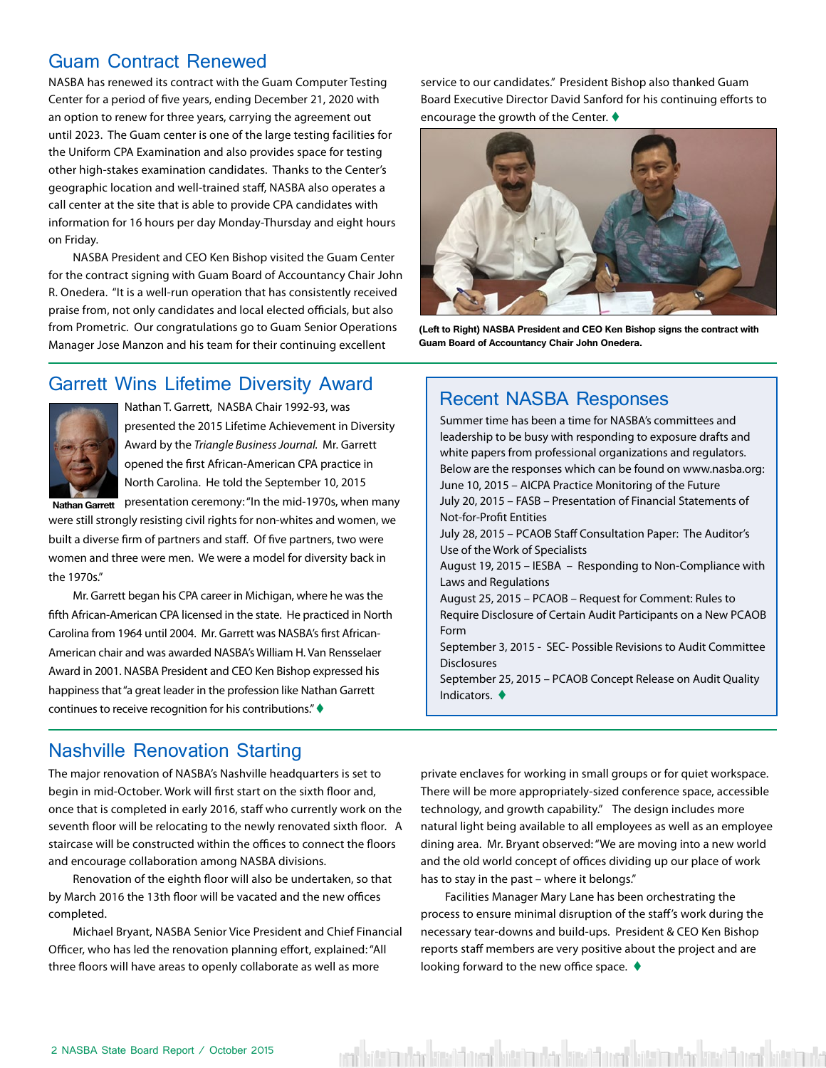## <span id="page-1-0"></span>Guam Contract Renewed

NASBA has renewed its contract with the Guam Computer Testing Center for a period of five years, ending December 21, 2020 with an option to renew for three years, carrying the agreement out until 2023. The Guam center is one of the large testing facilities for the Uniform CPA Examination and also provides space for testing other high-stakes examination candidates. Thanks to the Center's geographic location and well-trained staff, NASBA also operates a call center at the site that is able to provide CPA candidates with information for 16 hours per day Monday-Thursday and eight hours on Friday.

NASBA President and CEO Ken Bishop visited the Guam Center for the contract signing with Guam Board of Accountancy Chair John R. Onedera. "It is a well-run operation that has consistently received praise from, not only candidates and local elected officials, but also from Prometric. Our congratulations go to Guam Senior Operations Manager Jose Manzon and his team for their continuing excellent

service to our candidates." President Bishop also thanked Guam Board Executive Director David Sanford for his continuing efforts to encourage the growth of the Center.  $\blacklozenge$ 



**(Left to Right) NASBA President and CEO Ken Bishop signs the contract with Guam Board of Accountancy Chair John Onedera.**

# Garrett Wins Lifetime Diversity Award<br>
Recent NASBA Responses



Nathan T. Garrett, NASBA Chair 1992-93, was presented the 2015 Lifetime Achievement in Diversity Award by the *Triangle Business Journal.* Mr. Garrett opened the first African-American CPA practice in North Carolina. He told the September 10, 2015 **Nathan Garrett** presentation ceremony: "In the mid-1970s, when many

were still strongly resisting civil rights for non-whites and women, we built a diverse firm of partners and staff. Of five partners, two were women and three were men. We were a model for diversity back in the 1970s."

Mr. Garrett began his CPA career in Michigan, where he was the fifth African-American CPA licensed in the state. He practiced in North Carolina from 1964 until 2004. Mr. Garrett was NASBA's first African-American chair and was awarded NASBA's William H. Van Rensselaer Award in 2001. NASBA President and CEO Ken Bishop expressed his happiness that "a great leader in the profession like Nathan Garrett continues to receive recognition for his contributions." $\blacklozenge$ 

Summer time has been a time for NASBA's committees and leadership to be busy with responding to exposure drafts and white papers from professional organizations and regulators. Below are the responses which can be found on www.nasba.org: June 10, 2015 – AICPA Practice Monitoring of the Future July 20, 2015 – FASB – Presentation of Financial Statements of Not-for-Profit Entities July 28, 2015 – PCAOB Staff Consultation Paper: The Auditor's Use of the Work of Specialists August 19, 2015 – IESBA – Responding to Non-Compliance with Laws and Regulations August 25, 2015 – PCAOB – Request for Comment: Rules to Require Disclosure of Certain Audit Participants on a New PCAOB Form September 3, 2015 - SEC- Possible Revisions to Audit Committee **Disclosures** September 25, 2015 – PCAOB Concept Release on Audit Quality Indicators.  $\blacklozenge$ 

## Nashville Renovation Starting

The major renovation of NASBA's Nashville headquarters is set to begin in mid-October. Work will first start on the sixth floor and, once that is completed in early 2016, staff who currently work on the seventh floor will be relocating to the newly renovated sixth floor. A staircase will be constructed within the offices to connect the floors and encourage collaboration among NASBA divisions.

Renovation of the eighth floor will also be undertaken, so that by March 2016 the 13th floor will be vacated and the new offices completed.

Michael Bryant, NASBA Senior Vice President and Chief Financial Officer, who has led the renovation planning effort, explained: "All three floors will have areas to openly collaborate as well as more

private enclaves for working in small groups or for quiet workspace. There will be more appropriately-sized conference space, accessible technology, and growth capability." The design includes more natural light being available to all employees as well as an employee dining area. Mr. Bryant observed: "We are moving into a new world and the old world concept of offices dividing up our place of work has to stay in the past – where it belongs."

Facilities Manager Mary Lane has been orchestrating the process to ensure minimal disruption of the staff's work during the necessary tear-downs and build-ups. President & CEO Ken Bishop reports staff members are very positive about the project and are looking forward to the new office space.  $\blacklozenge$ 

ent hatt hade kard for de hatt mel er kard for de hatt halde kard for de hatt helt ha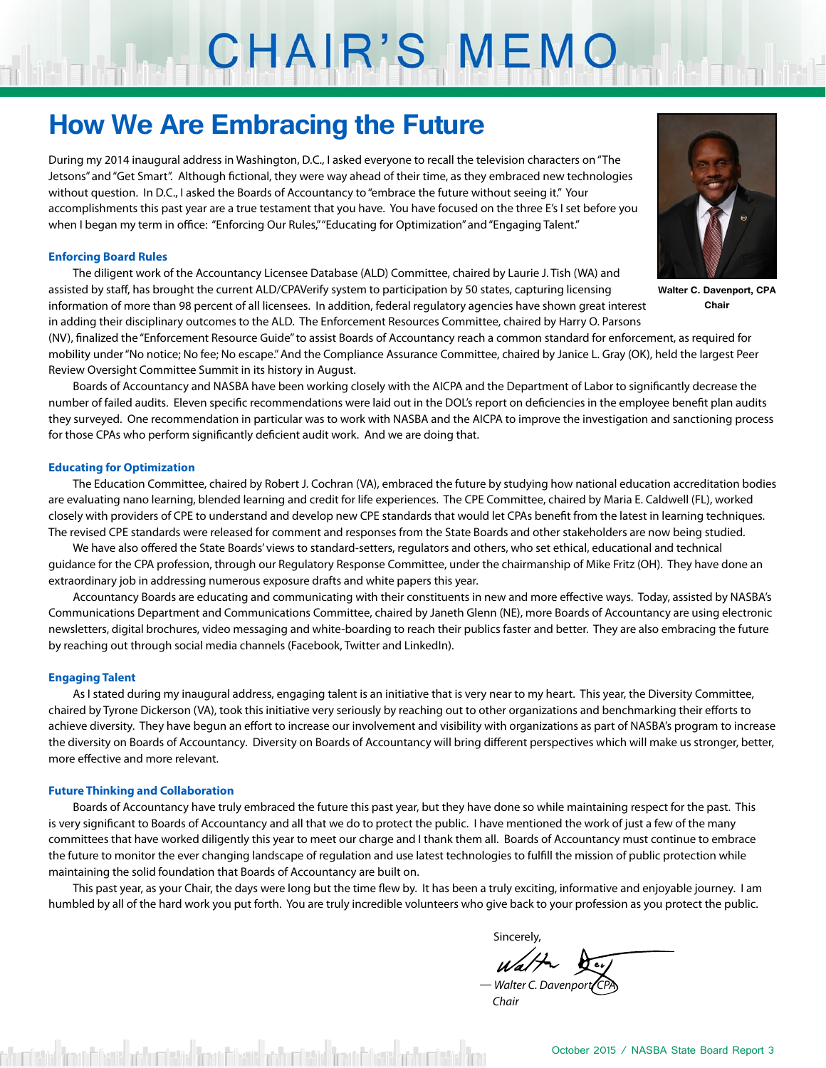# CHAIR'S MEMO

# **How We Are Embracing the Future**

During my 2014 inaugural address in Washington, D.C., I asked everyone to recall the television characters on "The Jetsons" and "Get Smart". Although fictional, they were way ahead of their time, as they embraced new technologies without question. In D.C., I asked the Boards of Accountancy to "embrace the future without seeing it." Your accomplishments this past year are a true testament that you have. You have focused on the three E's I set before you when I began my term in office: "Enforcing Our Rules," "Educating for Optimization" and "Engaging Talent."

### **Enforcing Board Rules**

The diligent work of the Accountancy Licensee Database (ALD) Committee, chaired by Laurie J. Tish (WA) and assisted by staff, has brought the current ALD/CPAVerify system to participation by 50 states, capturing licensing information of more than 98 percent of all licensees. In addition, federal regulatory agencies have shown great interest in adding their disciplinary outcomes to the ALD. The Enforcement Resources Committee, chaired by Harry O. Parsons

(NV), finalized the "Enforcement Resource Guide" to assist Boards of Accountancy reach a common standard for enforcement, as required for mobility under "No notice; No fee; No escape." And the Compliance Assurance Committee, chaired by Janice L. Gray (OK), held the largest Peer Review Oversight Committee Summit in its history in August.

Boards of Accountancy and NASBA have been working closely with the AICPA and the Department of Labor to significantly decrease the number of failed audits. Eleven specific recommendations were laid out in the DOL's report on deficiencies in the employee benefit plan audits they surveyed. One recommendation in particular was to work with NASBA and the AICPA to improve the investigation and sanctioning process for those CPAs who perform significantly deficient audit work. And we are doing that.

#### **Educating for Optimization**

The Education Committee, chaired by Robert J. Cochran (VA), embraced the future by studying how national education accreditation bodies are evaluating nano learning, blended learning and credit for life experiences. The CPE Committee, chaired by Maria E. Caldwell (FL), worked closely with providers of CPE to understand and develop new CPE standards that would let CPAs benefit from the latest in learning techniques. The revised CPE standards were released for comment and responses from the State Boards and other stakeholders are now being studied.

We have also offered the State Boards' views to standard-setters, regulators and others, who set ethical, educational and technical guidance for the CPA profession, through our Regulatory Response Committee, under the chairmanship of Mike Fritz (OH). They have done an extraordinary job in addressing numerous exposure drafts and white papers this year.

Accountancy Boards are educating and communicating with their constituents in new and more effective ways. Today, assisted by NASBA's Communications Department and Communications Committee, chaired by Janeth Glenn (NE), more Boards of Accountancy are using electronic newsletters, digital brochures, video messaging and white-boarding to reach their publics faster and better. They are also embracing the future by reaching out through social media channels (Facebook, Twitter and LinkedIn).

#### **Engaging Talent**

As I stated during my inaugural address, engaging talent is an initiative that is very near to my heart. This year, the Diversity Committee, chaired by Tyrone Dickerson (VA), took this initiative very seriously by reaching out to other organizations and benchmarking their efforts to achieve diversity. They have begun an effort to increase our involvement and visibility with organizations as part of NASBA's program to increase the diversity on Boards of Accountancy. Diversity on Boards of Accountancy will bring different perspectives which will make us stronger, better, more effective and more relevant.

#### **Future Thinking and Collaboration**

Boards of Accountancy have truly embraced the future this past year, but they have done so while maintaining respect for the past. This is very significant to Boards of Accountancy and all that we do to protect the public. I have mentioned the work of just a few of the many committees that have worked diligently this year to meet our charge and I thank them all. Boards of Accountancy must continue to embrace the future to monitor the ever changing landscape of regulation and use latest technologies to fulfill the mission of public protection while maintaining the solid foundation that Boards of Accountancy are built on.

This past year, as your Chair, the days were long but the time flew by. It has been a truly exciting, informative and enjoyable journey. I am humbled by all of the hard work you put forth. You are truly incredible volunteers who give back to your profession as you protect the public.

is a state of the control of the control of the control of the control of the control of the control of the co

- Walter C. Davenpor

 *Chair*



**Walter C. Davenport, CPA Chair**



October 2015 / NASBA State Board Report 3